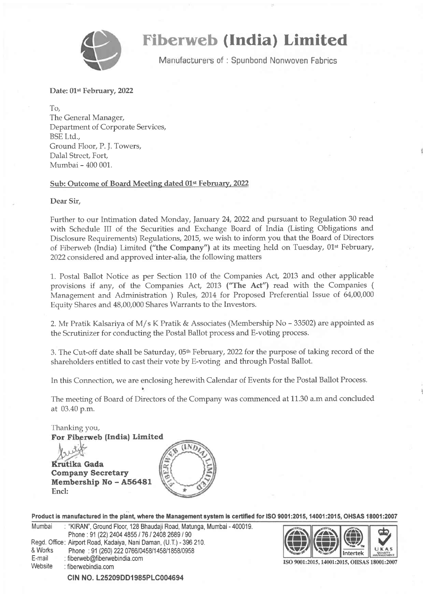

## **Fiberweb (India) Limited**

Manufacturers of: Spunbond Nonwoven Fabrics

Date: 01<sup>st</sup> February, 2022

To, The General Manager, Department of Corporate Services, BSE Ltd., Ground Floor, P. J. Towers, Dalal Street, Fort Mumbai - 400 001.

## Sub: Outcome of Board Meeting dated 01<sup>st</sup> February, 2022

Dear Sir,

Further to our Intimation dated Monday, January 24,2022 and pursuant to Regulation 30 read with Schedule III of the Securities and Exchange Board of India (Listing Obligations and Disclosure Requirements) Regulations, 2015, we wish to inform you that the Board of Directors of Fiberweb (India) Limited ("the Company") at its meeting held on Tuesday, 01<sup>st</sup> February, 2022 considered and approved inter-alia, the following matters

1. Postal Ballot Notice as per Section 110 of the Companies Act, 2013 and other applicable provisions if any, of the Companies Act, 2013 ("The Act") read with the Companies ( Management and Administration ) Rules, 2014 for Proposed Preferential Issue of 64,00,000 Equity Shares and 48,00,000 Shares Warrants to the Investors.

2. Mr Pratik Kalsariya of M/s K Pratik & Associates (Membership No - 33502) are appointed as the Scrutinizer for conducting the Postal Ballot process and E-voting process.

3. The Cut-off date shall be Saturday,  $05<sup>th</sup>$  February, 2022 for the purpose of taking record of the shareholders entitled to cast their vote by E-voting and through Postal Ballot.

In this Connection, we are enclosing herewith Calendar of Events for the Postal Ballot Process.

The meeting of Board of Directors of the Company was commenced at 11.30 a.m and concluded at 03.40 p.m.

For Fiberweb (India) Limited Thanking you,

Krutika Gada Company Secretary Membership No - A56481 Encl:



Product is manufactured in the plant, where the Management system is certified for ISO 9001:2015, 14001:2015, OHSAS 18001:2007

Mumbai : "KIRAN", Ground Floor, 128 Bhaudaji Road, Matunga, Mumbai - 400019. Phone: 91 (22) 2404 4855 / 76 / 2408 2689 / 90 Regd. Office: Airport Road, Kadaiya, Nani Daman, (U.T.)- 396 210. & Works Phone : 91 (260) 222 0766/0458/1458/1858/0958<br>
E-mail : fiberweb@fiberwebindia.com<br>
Website : fiberwebindia.com Website :fibenrvebindia.com CIN NO. L25209DD1985PLC004694



ISO 9001:2015, 14001:2015, OHSAS 18001:2007